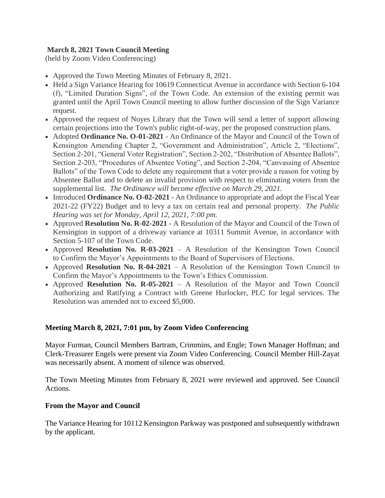# **March 8, 2021 Town Council Meeting**

(held by Zoom Video Conferencing)

- Approved the Town Meeting Minutes of February 8, 2021.
- Held a Sign Variance Hearing for 10619 Connecticut Avenue in accordance with Section 6-104 (f), "Limited Duration Signs", of the Town Code. An extension of the existing permit was granted until the April Town Council meeting to allow further discussion of the Sign Variance request.
- Approved the request of Noyes Library that the Town will send a letter of support allowing certain projections into the Town's public right-of-way, per the proposed construction plans.
- Adopted **Ordinance No. O-01-2021** An Ordinance of the Mayor and Council of the Town of Kensington Amending Chapter 2, "Government and Administration", Article 2, "Elections", Section 2-201, "General Voter Registration", Section 2-202, "Distribution of Absentee Ballots", Section 2-203, "Procedures of Absentee Voting", and Section 2-204, "Canvassing of Absentee Ballots" of the Town Code to delete any requirement that a voter provide a reason for voting by Absentee Ballot and to delete an invalid provision with respect to eliminating voters from the supplemental list. *The Ordinance will become effective on March 29, 2021.*
- Introduced **Ordinance No. O-02-2021** An Ordinance to appropriate and adopt the Fiscal Year 2021-22 (FY22) Budget and to levy a tax on certain real and personal property. *The Public Hearing was set for Monday, April 12, 2021, 7:00 pm.*
- Approved **Resolution No. R-02-2021** A Resolution of the Mayor and Council of the Town of Kensington in support of a driveway variance at 10311 Summit Avenue, in accordance with Section 5-107 of the Town Code.
- Approved **Resolution No. R-03-2021** A Resolution of the Kensington Town Council to Confirm the Mayor's Appointments to the Board of Supervisors of Elections.
- Approved **Resolution No. R-04-2021** A Resolution of the Kensington Town Council to Confirm the Mayor's Appointments to the Town's Ethics Commission.
- Approved **Resolution No. R-05-2021** A Resolution of the Mayor and Town Council Authorizing and Ratifying a Contract with Greene Hurlocker, PLC for legal services. The Resolution was amended not to exceed \$5,000.

## **Meeting March 8, 2021, 7:01 pm, by Zoom Video Conferencing**

Mayor Furman, Council Members Bartram, Crimmins, and Engle; Town Manager Hoffman; and Clerk-Treasurer Engels were present via Zoom Video Conferencing. Council Member Hill-Zayat was necessarily absent. A moment of silence was observed.

The Town Meeting Minutes from February 8, 2021 were reviewed and approved. See Council Actions.

### **From the Mayor and Council**

The Variance Hearing for 10112 Kensington Parkway was postponed and subsequently withdrawn by the applicant.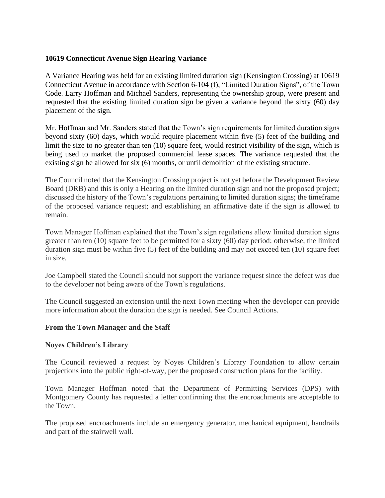### **10619 Connecticut Avenue Sign Hearing Variance**

A Variance Hearing was held for an existing limited duration sign (Kensington Crossing) at 10619 Connecticut Avenue in accordance with Section 6-104 (f), "Limited Duration Signs", of the Town Code. Larry Hoffman and Michael Sanders, representing the ownership group, were present and requested that the existing limited duration sign be given a variance beyond the sixty (60) day placement of the sign.

Mr. Hoffman and Mr. Sanders stated that the Town's sign requirements for limited duration signs beyond sixty (60) days, which would require placement within five (5) feet of the building and limit the size to no greater than ten (10) square feet, would restrict visibility of the sign, which is being used to market the proposed commercial lease spaces. The variance requested that the existing sign be allowed for six (6) months, or until demolition of the existing structure.

The Council noted that the Kensington Crossing project is not yet before the Development Review Board (DRB) and this is only a Hearing on the limited duration sign and not the proposed project; discussed the history of the Town's regulations pertaining to limited duration signs; the timeframe of the proposed variance request; and establishing an affirmative date if the sign is allowed to remain.

Town Manager Hoffman explained that the Town's sign regulations allow limited duration signs greater than ten (10) square feet to be permitted for a sixty (60) day period; otherwise, the limited duration sign must be within five (5) feet of the building and may not exceed ten (10) square feet in size.

Joe Campbell stated the Council should not support the variance request since the defect was due to the developer not being aware of the Town's regulations.

The Council suggested an extension until the next Town meeting when the developer can provide more information about the duration the sign is needed. See Council Actions.

### **From the Town Manager and the Staff**

### **Noyes Children's Library**

The Council reviewed a request by Noyes Children's Library Foundation to allow certain projections into the public right-of-way, per the proposed construction plans for the facility.

Town Manager Hoffman noted that the Department of Permitting Services (DPS) with Montgomery County has requested a letter confirming that the encroachments are acceptable to the Town.

The proposed encroachments include an emergency generator, mechanical equipment, handrails and part of the stairwell wall.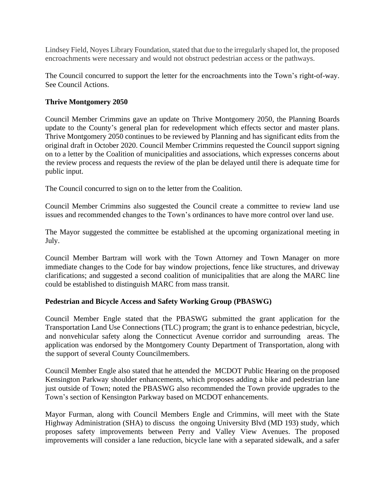Lindsey Field, Noyes Library Foundation, stated that due to the irregularly shaped lot, the proposed encroachments were necessary and would not obstruct pedestrian access or the pathways.

The Council concurred to support the letter for the encroachments into the Town's right-of-way. See Council Actions.

### **Thrive Montgomery 2050**

Council Member Crimmins gave an update on Thrive Montgomery 2050, the Planning Boards update to the County's general plan for redevelopment which effects sector and master plans. Thrive Montgomery 2050 continues to be reviewed by Planning and has significant edits from the original draft in October 2020. Council Member Crimmins requested the Council support signing on to a letter by the Coalition of municipalities and associations, which expresses concerns about the review process and requests the review of the plan be delayed until there is adequate time for public input.

The Council concurred to sign on to the letter from the Coalition.

Council Member Crimmins also suggested the Council create a committee to review land use issues and recommended changes to the Town's ordinances to have more control over land use.

The Mayor suggested the committee be established at the upcoming organizational meeting in July.

Council Member Bartram will work with the Town Attorney and Town Manager on more immediate changes to the Code for bay window projections, fence like structures, and driveway clarifications; and suggested a second coalition of municipalities that are along the MARC line could be established to distinguish MARC from mass transit.

### **Pedestrian and Bicycle Access and Safety Working Group (PBASWG)**

Council Member Engle stated that the PBASWG submitted the grant application for the Transportation Land Use Connections (TLC) program; the grant is to enhance pedestrian, bicycle, and nonvehicular safety along the Connecticut Avenue corridor and surrounding areas. The application was endorsed by the Montgomery County Department of Transportation, along with the support of several County Councilmembers.

Council Member Engle also stated that he attended the MCDOT Public Hearing on the proposed Kensington Parkway shoulder enhancements, which proposes adding a bike and pedestrian lane just outside of Town; noted the PBASWG also recommended the Town provide upgrades to the Town's section of Kensington Parkway based on MCDOT enhancements.

Mayor Furman, along with Council Members Engle and Crimmins, will meet with the State Highway Administration (SHA) to discuss the ongoing University Blvd (MD 193) study, which proposes safety improvements between Perry and Valley View Avenues. The proposed improvements will consider a lane reduction, bicycle lane with a separated sidewalk, and a safer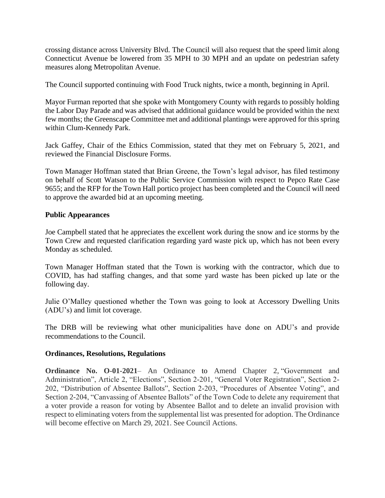crossing distance across University Blvd. The Council will also request that the speed limit along Connecticut Avenue be lowered from 35 MPH to 30 MPH and an update on pedestrian safety measures along Metropolitan Avenue.

The Council supported continuing with Food Truck nights, twice a month, beginning in April.

Mayor Furman reported that she spoke with Montgomery County with regards to possibly holding the Labor Day Parade and was advised that additional guidance would be provided within the next few months; the Greenscape Committee met and additional plantings were approved for this spring within Clum-Kennedy Park.

Jack Gaffey, Chair of the Ethics Commission, stated that they met on February 5, 2021, and reviewed the Financial Disclosure Forms.

Town Manager Hoffman stated that Brian Greene, the Town's legal advisor, has filed testimony on behalf of Scott Watson to the Public Service Commission with respect to Pepco Rate Case 9655; and the RFP for the Town Hall portico project has been completed and the Council will need to approve the awarded bid at an upcoming meeting.

### **Public Appearances**

Joe Campbell stated that he appreciates the excellent work during the snow and ice storms by the Town Crew and requested clarification regarding yard waste pick up, which has not been every Monday as scheduled.

Town Manager Hoffman stated that the Town is working with the contractor, which due to COVID, has had staffing changes, and that some yard waste has been picked up late or the following day.

Julie O'Malley questioned whether the Town was going to look at Accessory Dwelling Units (ADU's) and limit lot coverage.

The DRB will be reviewing what other municipalities have done on ADU's and provide recommendations to the Council.

### **Ordinances, Resolutions, Regulations**

**Ordinance No. O-01-2021**– An Ordinance to Amend Chapter 2, "Government and Administration", Article 2, "Elections", Section 2-201, "General Voter Registration", Section 2- 202, "Distribution of Absentee Ballots", Section 2-203, "Procedures of Absentee Voting", and Section 2-204, "Canvassing of Absentee Ballots" of the Town Code to delete any requirement that a voter provide a reason for voting by Absentee Ballot and to delete an invalid provision with respect to eliminating voters from the supplemental list was presented for adoption. The Ordinance will become effective on March 29, 2021. See Council Actions.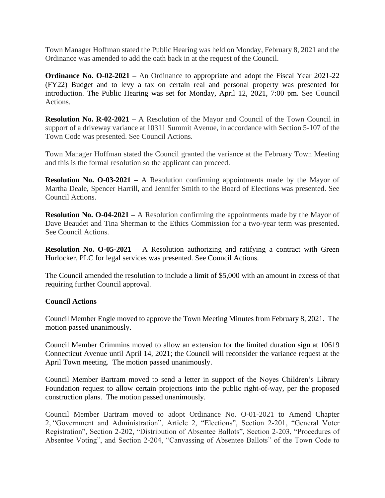Town Manager Hoffman stated the Public Hearing was held on Monday, February 8, 2021 and the Ordinance was amended to add the oath back in at the request of the Council.

**Ordinance No. O-02-2021 –** An Ordinance to appropriate and adopt the Fiscal Year 2021-22 (FY22) Budget and to levy a tax on certain real and personal property was presented for introduction. The Public Hearing was set for Monday, April 12, 2021, 7:00 pm*.* See Council Actions.

**Resolution No. R-02-2021** – A Resolution of the Mayor and Council of the Town Council in support of a driveway variance at 10311 Summit Avenue, in accordance with Section 5-107 of the Town Code was presented. See Council Actions.

Town Manager Hoffman stated the Council granted the variance at the February Town Meeting and this is the formal resolution so the applicant can proceed.

**Resolution No. O-03-2021** – A Resolution confirming appointments made by the Mayor of Martha Deale, Spencer Harrill, and Jennifer Smith to the Board of Elections was presented. See Council Actions.

**Resolution No. O-04-2021 –** A Resolution confirming the appointments made by the Mayor of Dave Beaudet and Tina Sherman to the Ethics Commission for a two-year term was presented. See Council Actions.

**Resolution No. O-05-2021** – A Resolution authorizing and ratifying a contract with Green Hurlocker, PLC for legal services was presented. See Council Actions.

The Council amended the resolution to include a limit of \$5,000 with an amount in excess of that requiring further Council approval.

### **Council Actions**

Council Member Engle moved to approve the Town Meeting Minutes from February 8, 2021. The motion passed unanimously.

Council Member Crimmins moved to allow an extension for the limited duration sign at 10619 Connecticut Avenue until April 14, 2021; the Council will reconsider the variance request at the April Town meeting. The motion passed unanimously.

Council Member Bartram moved to send a letter in support of the Noyes Children's Library Foundation request to allow certain projections into the public right-of-way, per the proposed construction plans. The motion passed unanimously.

Council Member Bartram moved to adopt Ordinance No. O-01-2021 to Amend Chapter 2, "Government and Administration", Article 2, "Elections", Section 2-201, "General Voter Registration", Section 2-202, "Distribution of Absentee Ballots", Section 2-203, "Procedures of Absentee Voting", and Section 2-204, "Canvassing of Absentee Ballots" of the Town Code to